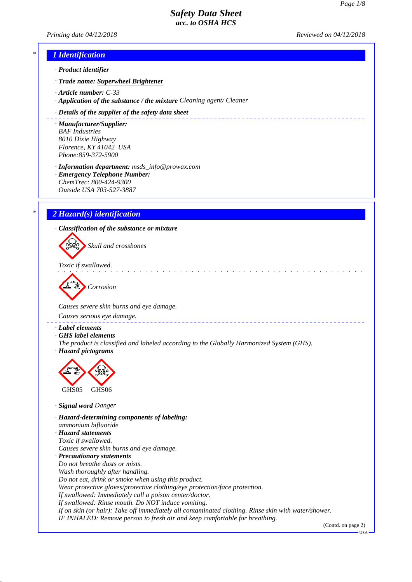*Printing date 04/12/2018 Reviewed on 04/12/2018*

### *\* 1 Identification*

- *· Product identifier*
- *· Trade name: Superwheel Brightener*
- *· Article number: C-33*
- *· Application of the substance / the mixture Cleaning agent/ Cleaner*

#### *· Details of the supplier of the safety data sheet*

- *· Manufacturer/Supplier: BAF Industries 8010 Dixie Highway Florence, KY 41042 USA Phone:859-372-5900*
- *· Information department: msds\_info@prowax.com*
- *· Emergency Telephone Number: ChemTrec: 800-424-9300 Outside USA 703-527-3887*

### *\* 2 Hazard(s) identification*

*· Classification of the substance or mixture*

*Skull and crossbones*

*Toxic if swallowed.* 

*Corrosion*

*Causes severe skin burns and eye damage.* 

*Causes serious eye damage.* 

- *· Label elements*
- *· GHS label elements*
- *The product is classified and labeled according to the Globally Harmonized System (GHS). · Hazard pictograms*



- *· Signal word Danger*
- *· Hazard-determining components of labeling: ammonium bifluoride · Hazard statements Toxic if swallowed. Causes severe skin burns and eye damage. · Precautionary statements Do not breathe dusts or mists. Wash thoroughly after handling. Do not eat, drink or smoke when using this product. Wear protective gloves/protective clothing/eye protection/face protection.*
- *If swallowed: Immediately call a poison center/doctor. If swallowed: Rinse mouth. Do NOT induce vomiting.*
- *If on skin (or hair): Take off immediately all contaminated clothing. Rinse skin with water/shower. IF INHALED: Remove person to fresh air and keep comfortable for breathing.*

(Contd. on page 2)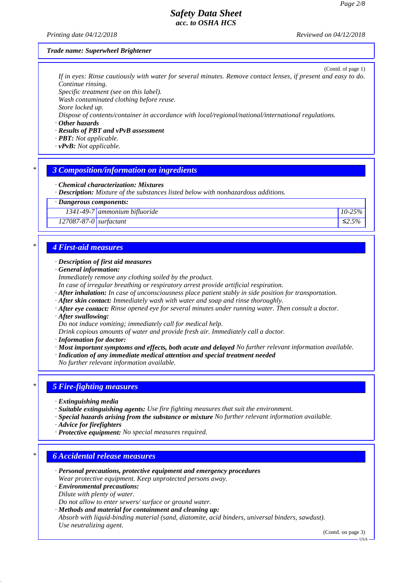*Printing date 04/12/2018 Reviewed on 04/12/2018*

#### *Trade name: Superwheel Brightener*

(Contd. of page 1) *If in eyes: Rinse cautiously with water for several minutes. Remove contact lenses, if present and easy to do. Continue rinsing.*

*Specific treatment (see on this label).*

*Wash contaminated clothing before reuse.*

*Store locked up.*

*Dispose of contents/container in accordance with local/regional/national/international regulations.*

*· Other hazards*

- *· Results of PBT and vPvB assessment*
- *· PBT: Not applicable.*
- *· vPvB: Not applicable.*

### *\* 3 Composition/information on ingredients*

*· Chemical characterization: Mixtures*

*· Description: Mixture of the substances listed below with nonhazardous additions.*

*· Dangerous components:*

*1341-49-7 ammonium bifluoride 10-25%*

*127087-87-0 surfactant ≤2.5%*

### *\* 4 First-aid measures*

#### *· Description of first aid measures*

*· General information:*

*Immediately remove any clothing soiled by the product.*

- *In case of irregular breathing or respiratory arrest provide artificial respiration.*
- *· After inhalation: In case of unconsciousness place patient stably in side position for transportation.*
- *· After skin contact: Immediately wash with water and soap and rinse thoroughly.*
- *· After eye contact: Rinse opened eye for several minutes under running water. Then consult a doctor.*
- *· After swallowing:*
- *Do not induce vomiting; immediately call for medical help.*
- *Drink copious amounts of water and provide fresh air. Immediately call a doctor.*
- *· Information for doctor:*
- *· Most important symptoms and effects, both acute and delayed No further relevant information available.*
- *· Indication of any immediate medical attention and special treatment needed*
- *No further relevant information available.*

## *\* 5 Fire-fighting measures*

- *· Extinguishing media*
- *· Suitable extinguishing agents: Use fire fighting measures that suit the environment.*
- *· Special hazards arising from the substance or mixture No further relevant information available.*
- *· Advice for firefighters*
- *· Protective equipment: No special measures required.*

### *\* 6 Accidental release measures*

- *· Personal precautions, protective equipment and emergency procedures Wear protective equipment. Keep unprotected persons away. · Environmental precautions: Dilute with plenty of water.*
- *Do not allow to enter sewers/ surface or ground water.*
- *· Methods and material for containment and cleaning up:*
- *Absorb with liquid-binding material (sand, diatomite, acid binders, universal binders, sawdust). Use neutralizing agent.*

(Contd. on page 3)

USA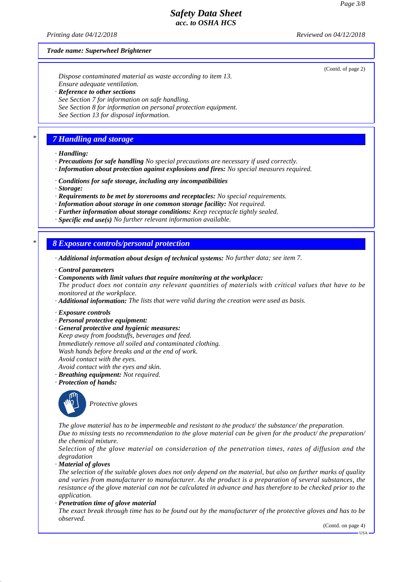*Printing date 04/12/2018 Reviewed on 04/12/2018*

#### *Trade name: Superwheel Brightener*

*Dispose contaminated material as waste according to item 13. Ensure adequate ventilation. · Reference to other sections*

- *See Section 7 for information on safe handling.*
- *See Section 8 for information on personal protection equipment.*
- *See Section 13 for disposal information.*

### *\* 7 Handling and storage*

- *· Handling:*
- *· Precautions for safe handling No special precautions are necessary if used correctly.*
- *· Information about protection against explosions and fires: No special measures required.*
- *· Conditions for safe storage, including any incompatibilities*
- *· Storage:*
- *· Requirements to be met by storerooms and receptacles: No special requirements.*
- *· Information about storage in one common storage facility: Not required.*
- *· Further information about storage conditions: Keep receptacle tightly sealed.*
- *· Specific end use(s) No further relevant information available.*

### *\* 8 Exposure controls/personal protection*

- *· Additional information about design of technical systems: No further data; see item 7.*
- *· Control parameters*
- *· Components with limit values that require monitoring at the workplace: The product does not contain any relevant quantities of materials with critical values that have to be monitored at the workplace.*
- *· Additional information: The lists that were valid during the creation were used as basis.*
- *· Exposure controls*
- *· Personal protective equipment:*
- *· General protective and hygienic measures:*
- *Keep away from foodstuffs, beverages and feed. Immediately remove all soiled and contaminated clothing. Wash hands before breaks and at the end of work. Avoid contact with the eyes. Avoid contact with the eyes and skin.*
- *· Breathing equipment: Not required.*
- *· Protection of hands:*



*Protective gloves*

*The glove material has to be impermeable and resistant to the product/ the substance/ the preparation. Due to missing tests no recommendation to the glove material can be given for the product/ the preparation/ the chemical mixture.*

*Selection of the glove material on consideration of the penetration times, rates of diffusion and the degradation*

*· Material of gloves*

*The selection of the suitable gloves does not only depend on the material, but also on further marks of quality and varies from manufacturer to manufacturer. As the product is a preparation of several substances, the resistance of the glove material can not be calculated in advance and has therefore to be checked prior to the application.*

*· Penetration time of glove material*

*The exact break through time has to be found out by the manufacturer of the protective gloves and has to be observed.*

(Contd. on page 4)

(Contd. of page 2)

 $-1$ ISA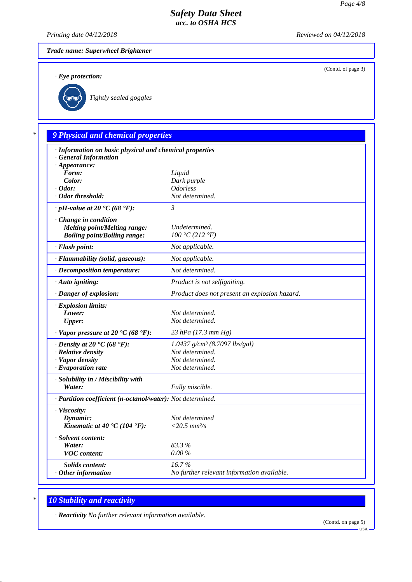*Printing date 04/12/2018 Reviewed on 04/12/2018*

(Contd. of page 3)

*Trade name: Superwheel Brightener*

*· Eye protection:*



*Tightly sealed goggles*

# *\* 9 Physical and chemical properties*

| · Information on basic physical and chemical properties      |                                               |  |
|--------------------------------------------------------------|-----------------------------------------------|--|
| · General Information<br>$\cdot$ Appearance:                 |                                               |  |
| Form:                                                        | Liquid                                        |  |
| Color:                                                       | Dark purple                                   |  |
| $\cdot$ Odor:                                                | <b>Odorless</b>                               |  |
| ⋅ Odor threshold:                                            | Not determined.                               |  |
| $\cdot$ pH-value at 20 $\textdegree$ C (68 $\textdegree$ F): | 3                                             |  |
| $\cdot$ Change in condition                                  |                                               |  |
| <b>Melting point/Melting range:</b>                          | Undetermined.                                 |  |
| <b>Boiling point/Boiling range:</b>                          | 100 °C (212 °F)                               |  |
| · Flash point:                                               | Not applicable.                               |  |
| · Flammability (solid, gaseous):                             | Not applicable.                               |  |
| · Decomposition temperature:                                 | Not determined.                               |  |
| $\cdot$ Auto igniting:                                       | Product is not selfigniting.                  |  |
| · Danger of explosion:                                       | Product does not present an explosion hazard. |  |
| $\cdot$ Explosion limits:                                    |                                               |  |
| Lower:                                                       | Not determined.                               |  |
| <b>Upper:</b>                                                | Not determined.                               |  |
| $\cdot$ Vapor pressure at 20 $\cdot$ C (68 $\cdot$ F):       | 23 hPa (17.3 mm Hg)                           |  |
| $\cdot$ Density at 20 $\cdot$ C (68 $\cdot$ F):              | $1.0437$ g/cm <sup>3</sup> (8.7097 lbs/gal)   |  |
| · Relative density                                           | Not determined.                               |  |
| · Vapor density                                              | Not determined.                               |  |
| $\cdot$ Evaporation rate                                     | Not determined.                               |  |
| · Solubility in / Miscibility with                           |                                               |  |
| Water:                                                       | Fully miscible.                               |  |
| · Partition coefficient (n-octanol/water): Not determined.   |                                               |  |
| · Viscosity:                                                 |                                               |  |
| Dynamic:                                                     | Not determined                                |  |
| Kinematic at 40 $\textdegree$ C (104 $\textdegree$ F):       | $<20.5$ mm <sup>2</sup> /s                    |  |
| · Solvent content:                                           |                                               |  |
| Water:                                                       | 83.3%                                         |  |
| <b>VOC</b> content:                                          | 0.00%                                         |  |
| Solids content:                                              | 16.7%                                         |  |
| $·$ Other information                                        | No further relevant information available.    |  |
|                                                              |                                               |  |

# *\* 10 Stability and reactivity*

*· Reactivity No further relevant information available.*

(Contd. on page 5)

USA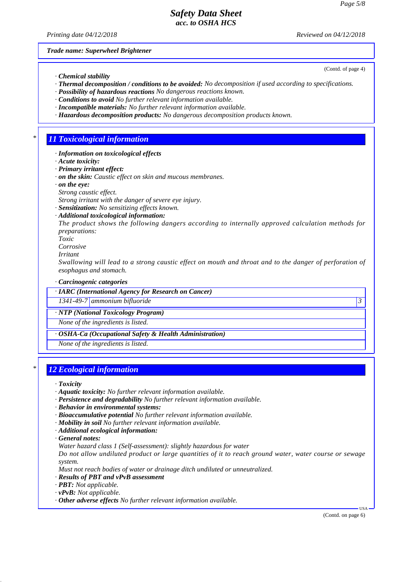*Printing date 04/12/2018 Reviewed on 04/12/2018*

(Contd. of page 4)

*Trade name: Superwheel Brightener*

*· Chemical stability*

- *· Thermal decomposition / conditions to be avoided: No decomposition if used according to specifications.*
- *· Possibility of hazardous reactions No dangerous reactions known.*
- *· Conditions to avoid No further relevant information available.*
- *· Incompatible materials: No further relevant information available.*
- *· Hazardous decomposition products: No dangerous decomposition products known.*

### *\* 11 Toxicological information*

- *· Information on toxicological effects*
- *· Acute toxicity:*
- *· Primary irritant effect:*
- *· on the skin: Caustic effect on skin and mucous membranes.*
- *· on the eye:*
- *Strong caustic effect.*

*Strong irritant with the danger of severe eye injury.*

- *· Sensitization: No sensitizing effects known.*
- *· Additional toxicological information:*

*The product shows the following dangers according to internally approved calculation methods for preparations:*

*Toxic*

- *Corrosive*
- *Irritant*

*Swallowing will lead to a strong caustic effect on mouth and throat and to the danger of perforation of esophagus and stomach.*

*· Carcinogenic categories*

*· IARC (International Agency for Research on Cancer)*

*1341-49-7 ammonium bifluoride 3* 

*· NTP (National Toxicology Program)*

*None of the ingredients is listed.*

#### *· OSHA-Ca (Occupational Safety & Health Administration)*

*None of the ingredients is listed.*

### *\* 12 Ecological information*

*· Toxicity*

- *· Aquatic toxicity: No further relevant information available.*
- *· Persistence and degradability No further relevant information available.*
- *· Behavior in environmental systems:*
- *· Bioaccumulative potential No further relevant information available.*
- *· Mobility in soil No further relevant information available.*
- *· Additional ecological information:*

*· General notes:*

*Water hazard class 1 (Self-assessment): slightly hazardous for water*

*Do not allow undiluted product or large quantities of it to reach ground water, water course or sewage system.*

*Must not reach bodies of water or drainage ditch undiluted or unneutralized.*

- *· Results of PBT and vPvB assessment*
- *· PBT: Not applicable.*
- *· vPvB: Not applicable.*
- *· Other adverse effects No further relevant information available.*

(Contd. on page 6)

USA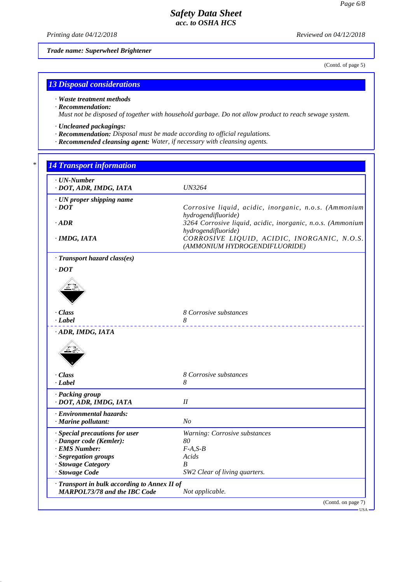*Printing date 04/12/2018 Reviewed on 04/12/2018*

(Contd. of page 5)

# *13 Disposal considerations*

*Trade name: Superwheel Brightener*

*· Waste treatment methods*

*· Recommendation:*

*Must not be disposed of together with household garbage. Do not allow product to reach sewage system.*

- *· Uncleaned packagings:*
- *· Recommendation: Disposal must be made according to official regulations.*
- *· Recommended cleansing agent: Water, if necessary with cleansing agents.*

| · UN-Number                                                                                                                                                                                                                                                      |                                                                                   |
|------------------------------------------------------------------------------------------------------------------------------------------------------------------------------------------------------------------------------------------------------------------|-----------------------------------------------------------------------------------|
| · DOT, ADR, IMDG, IATA                                                                                                                                                                                                                                           | UN3264                                                                            |
| · UN proper shipping name                                                                                                                                                                                                                                        |                                                                                   |
| $\cdot$ DOT                                                                                                                                                                                                                                                      | Corrosive liquid, acidic, inorganic, n.o.s. (Ammonium                             |
| $\cdot$ ADR                                                                                                                                                                                                                                                      | hydrogendifluoride)<br>3264 Corrosive liquid, acidic, inorganic, n.o.s. (Ammonium |
|                                                                                                                                                                                                                                                                  | hydrogendifluoride)                                                               |
| $\cdot$ IMDG, IATA                                                                                                                                                                                                                                               | CORROSIVE LIQUID, ACIDIC, INORGANIC, N.O.S.                                       |
|                                                                                                                                                                                                                                                                  | (AMMONIUM HYDROGENDIFLUORIDE)                                                     |
| · Transport hazard class(es)                                                                                                                                                                                                                                     |                                                                                   |
| $\cdot$ DOT                                                                                                                                                                                                                                                      |                                                                                   |
|                                                                                                                                                                                                                                                                  |                                                                                   |
|                                                                                                                                                                                                                                                                  |                                                                                   |
|                                                                                                                                                                                                                                                                  |                                                                                   |
|                                                                                                                                                                                                                                                                  |                                                                                   |
| · Class                                                                                                                                                                                                                                                          | 8 Corrosive substances                                                            |
| · Label                                                                                                                                                                                                                                                          | 8                                                                                 |
|                                                                                                                                                                                                                                                                  | <u>.</u>                                                                          |
| ADR, IMDG, IATA                                                                                                                                                                                                                                                  |                                                                                   |
|                                                                                                                                                                                                                                                                  | 8 Corrosive substances                                                            |
|                                                                                                                                                                                                                                                                  | 8                                                                                 |
|                                                                                                                                                                                                                                                                  |                                                                                   |
|                                                                                                                                                                                                                                                                  | $I\!I$                                                                            |
|                                                                                                                                                                                                                                                                  |                                                                                   |
|                                                                                                                                                                                                                                                                  | No                                                                                |
|                                                                                                                                                                                                                                                                  | Warning: Corrosive substances                                                     |
|                                                                                                                                                                                                                                                                  | 80                                                                                |
|                                                                                                                                                                                                                                                                  | $F-A, S-B$                                                                        |
|                                                                                                                                                                                                                                                                  | Acids                                                                             |
|                                                                                                                                                                                                                                                                  | B                                                                                 |
| · Class<br>· Label<br>· Packing group<br>· DOT, ADR, IMDG, IATA<br>· Environmental hazards:<br>· Marine pollutant:<br>· Special precautions for user<br>· Danger code (Kemler):<br>· EMS Number:<br>· Segregation groups<br>· Stowage Category<br>· Stowage Code | SW2 Clear of living quarters.                                                     |
| · Transport in bulk according to Annex II of<br><b>MARPOL73/78 and the IBC Code</b>                                                                                                                                                                              | Not applicable.                                                                   |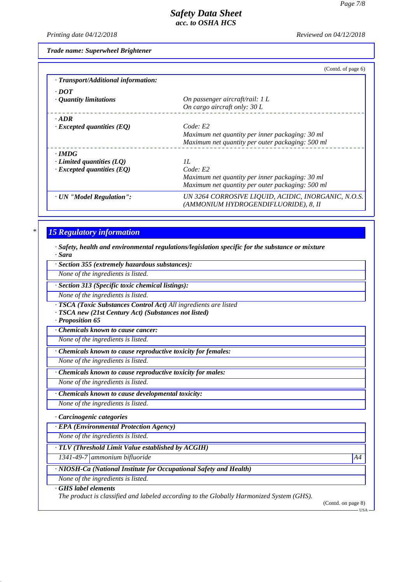*Printing date 04/12/2018 Reviewed on 04/12/2018*

*Trade name: Superwheel Brightener*

| On passenger aircraft/rail: 1 L                     |
|-----------------------------------------------------|
| On cargo aircraft only: 30 L                        |
|                                                     |
| Code: E2                                            |
| Maximum net quantity per inner packaging: 30 ml     |
| Maximum net quantity per outer packaging: 500 ml    |
|                                                     |
| IL                                                  |
| Code: E2                                            |
| Maximum net quantity per inner packaging: 30 ml     |
| Maximum net quantity per outer packaging: 500 ml    |
| UN 3264 CORROSIVE LIQUID, ACIDIC, INORGANIC, N.O.S. |
| (AMMONIUM HYDROGENDIFLUORIDE), 8, II                |
|                                                     |

# *\* 15 Regulatory information*

*· Safety, health and environmental regulations/legislation specific for the substance or mixture · Sara*

| · Section 355 (extremely hazardous substances):                    |    |
|--------------------------------------------------------------------|----|
| None of the ingredients is listed.                                 |    |
| · Section 313 (Specific toxic chemical listings):                  |    |
| None of the ingredients is listed.                                 |    |
| · TSCA (Toxic Substances Control Act) All ingredients are listed   |    |
| · TSCA new (21st Century Act) (Substances not listed)              |    |
| · Proposition 65                                                   |    |
| Chemicals known to cause cancer:                                   |    |
| None of the ingredients is listed.                                 |    |
| Chemicals known to cause reproductive toxicity for females:        |    |
| None of the ingredients is listed.                                 |    |
| Chemicals known to cause reproductive toxicity for males:          |    |
| None of the ingredients is listed.                                 |    |
| Chemicals known to cause developmental toxicity:                   |    |
| None of the ingredients is listed.                                 |    |
| · Carcinogenic categories                                          |    |
| · EPA (Environmental Protection Agency)                            |    |
| None of the ingredients is listed.                                 |    |
| · TLV (Threshold Limit Value established by ACGIH)                 |    |
| 1341-49-7 ammonium bifluoride                                      | A4 |
| · NIOSH-Ca (National Institute for Occupational Safety and Health) |    |
| None of the ingredients is listed.                                 |    |
| <b>GHS</b> label elements                                          |    |
|                                                                    |    |

*The product is classified and labeled according to the Globally Harmonized System (GHS).*

(Contd. on page 8)